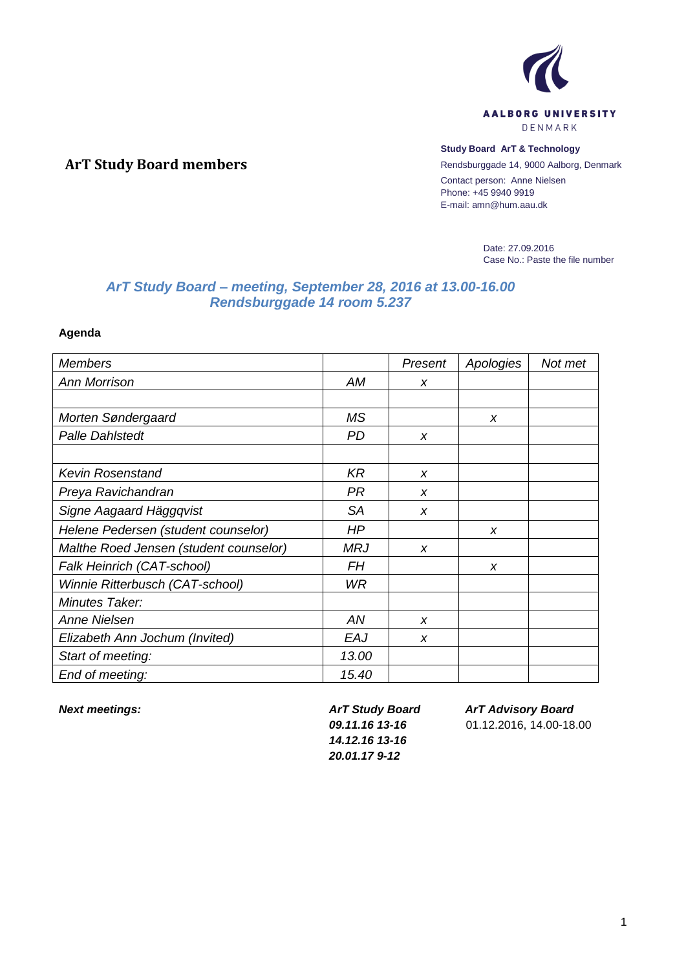

### **Study Board ArT & Technology**

Rendsburggade 14, 9000 Aalborg, Denmark Contact person: Anne Nielsen Phone: +45 9940 9919 E-mail: amn@hum.aau.dk

> Date: 27.09.2016 Case No.: Paste the file number

# *ArT Study Board – meeting, September 28, 2016 at 13.00-16.00 Rendsburggade 14 room 5.237*

**Agenda**

**ArT Study Board members**

| <b>Members</b>                         |            | Present          | Apologies | Not met |
|----------------------------------------|------------|------------------|-----------|---------|
| <b>Ann Morrison</b>                    | АM         | X                |           |         |
|                                        |            |                  |           |         |
| Morten Søndergaard                     | MS         |                  | x         |         |
| <b>Palle Dahlstedt</b>                 | <b>PD</b>  | X                |           |         |
|                                        |            |                  |           |         |
| <b>Kevin Rosenstand</b>                | <b>KR</b>  | X                |           |         |
| Preya Ravichandran                     | PR         | X                |           |         |
| Signe Aagaard Häggqvist                | <b>SA</b>  | X                |           |         |
| Helene Pedersen (student counselor)    | HP         |                  | x         |         |
| Malthe Roed Jensen (student counselor) | <b>MRJ</b> | X                |           |         |
| Falk Heinrich (CAT-school)             | <b>FH</b>  |                  | X         |         |
| Winnie Ritterbusch (CAT-school)        | WR.        |                  |           |         |
| Minutes Taker:                         |            |                  |           |         |
| <b>Anne Nielsen</b>                    | AN         | $\boldsymbol{x}$ |           |         |
| Elizabeth Ann Jochum (Invited)         | EAJ        | $\boldsymbol{x}$ |           |         |
| Start of meeting:                      | 13.00      |                  |           |         |
| End of meeting:                        | 15.40      |                  |           |         |

*Next meetings: ArT Study Board 09.11.16 13-16 14.12.16 13-16 20.01.17 9-12*

*ArT Advisory Board*

01.12.2016, 14.00-18.00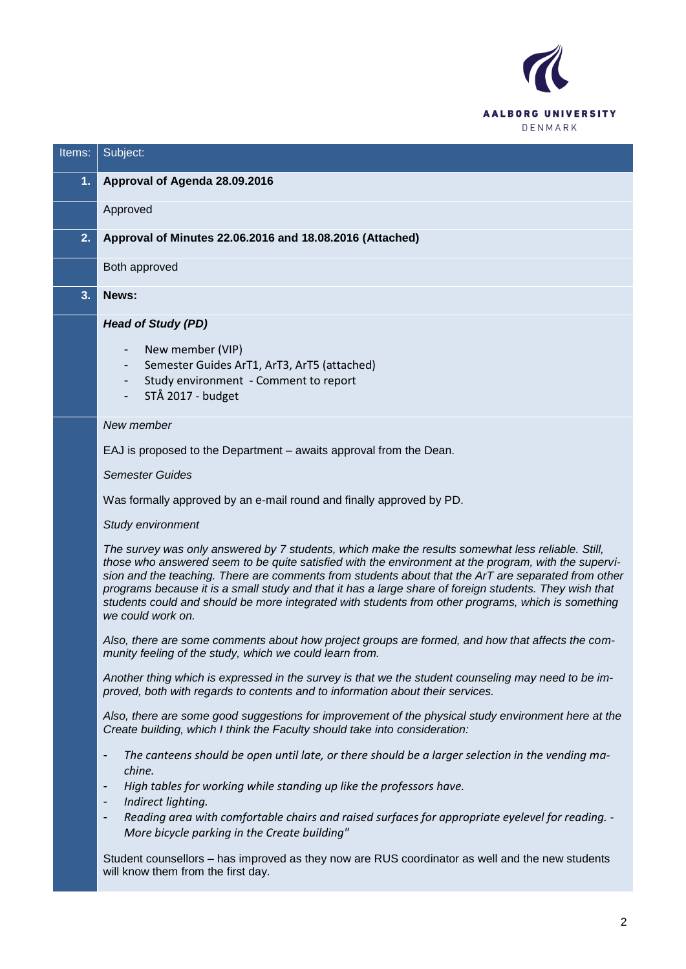

| Items: | Subject:                                                                                                                                                                                                                                                                                                                                                                                                                                                                                                                                              |
|--------|-------------------------------------------------------------------------------------------------------------------------------------------------------------------------------------------------------------------------------------------------------------------------------------------------------------------------------------------------------------------------------------------------------------------------------------------------------------------------------------------------------------------------------------------------------|
| 1.     | Approval of Agenda 28.09.2016                                                                                                                                                                                                                                                                                                                                                                                                                                                                                                                         |
|        | Approved                                                                                                                                                                                                                                                                                                                                                                                                                                                                                                                                              |
| 2.     | Approval of Minutes 22.06.2016 and 18.08.2016 (Attached)                                                                                                                                                                                                                                                                                                                                                                                                                                                                                              |
|        | Both approved                                                                                                                                                                                                                                                                                                                                                                                                                                                                                                                                         |
| 3.     | News:                                                                                                                                                                                                                                                                                                                                                                                                                                                                                                                                                 |
|        | <b>Head of Study (PD)</b>                                                                                                                                                                                                                                                                                                                                                                                                                                                                                                                             |
|        | New member (VIP)<br>Semester Guides ArT1, ArT3, ArT5 (attached)<br>Study environment - Comment to report<br>STÅ 2017 - budget                                                                                                                                                                                                                                                                                                                                                                                                                         |
|        | New member                                                                                                                                                                                                                                                                                                                                                                                                                                                                                                                                            |
|        | EAJ is proposed to the Department - awaits approval from the Dean.                                                                                                                                                                                                                                                                                                                                                                                                                                                                                    |
|        | <b>Semester Guides</b>                                                                                                                                                                                                                                                                                                                                                                                                                                                                                                                                |
|        | Was formally approved by an e-mail round and finally approved by PD.                                                                                                                                                                                                                                                                                                                                                                                                                                                                                  |
|        | Study environment                                                                                                                                                                                                                                                                                                                                                                                                                                                                                                                                     |
|        | The survey was only answered by 7 students, which make the results somewhat less reliable. Still,<br>those who answered seem to be quite satisfied with the environment at the program, with the supervi-<br>sion and the teaching. There are comments from students about that the ArT are separated from other<br>programs because it is a small study and that it has a large share of foreign students. They wish that<br>students could and should be more integrated with students from other programs, which is something<br>we could work on. |
|        | Also, there are some comments about how project groups are formed, and how that affects the com-<br>munity feeling of the study, which we could learn from.                                                                                                                                                                                                                                                                                                                                                                                           |
|        | Another thing which is expressed in the survey is that we the student counseling may need to be im-<br>proved, both with regards to contents and to information about their services.                                                                                                                                                                                                                                                                                                                                                                 |
|        | Also, there are some good suggestions for improvement of the physical study environment here at the<br>Create building, which I think the Faculty should take into consideration:                                                                                                                                                                                                                                                                                                                                                                     |
|        | The canteens should be open until late, or there should be a larger selection in the vending ma-<br>-                                                                                                                                                                                                                                                                                                                                                                                                                                                 |
|        | chine.<br>High tables for working while standing up like the professors have.<br>-                                                                                                                                                                                                                                                                                                                                                                                                                                                                    |
|        | Indirect lighting.<br>-<br>Reading area with comfortable chairs and raised surfaces for appropriate eyelevel for reading. -<br>-<br>More bicycle parking in the Create building"                                                                                                                                                                                                                                                                                                                                                                      |
|        | Student counsellors – has improved as they now are RUS coordinator as well and the new students<br>will know them from the first day.                                                                                                                                                                                                                                                                                                                                                                                                                 |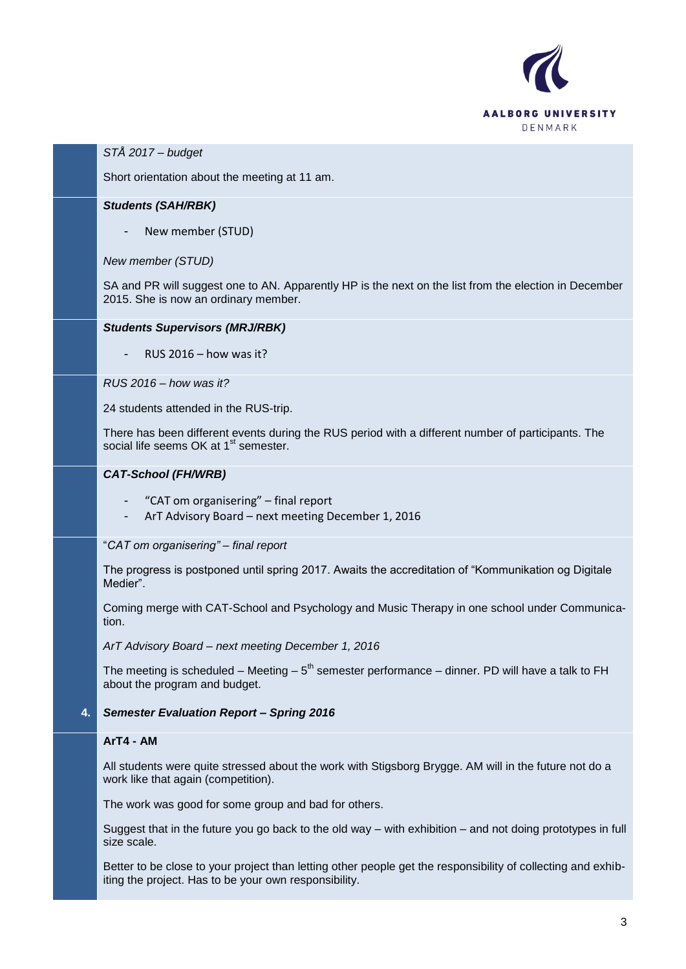

## *STÅ 2017 – budget*

Short orientation about the meeting at 11 am.

## *Students (SAH/RBK)*

New member (STUD)

#### *New member (STUD)*

SA and PR will suggest one to AN. Apparently HP is the next on the list from the election in December 2015. She is now an ordinary member.

### *Students Supervisors (MRJ/RBK)*

RUS  $2016 -$  how was it?

*RUS 2016 – how was it?*

24 students attended in the RUS-trip.

There has been different events during the RUS period with a different number of participants. The social life seems OK at 1<sup>st</sup> semester.

## *CAT-School (FH/WRB)*

- "CAT om organisering" final report
- ArT Advisory Board next meeting December 1, 2016

## "*CAT om organisering" – final report*

The progress is postponed until spring 2017. Awaits the accreditation of "Kommunikation og Digitale Medier".

Coming merge with CAT-School and Psychology and Music Therapy in one school under Communication.

*ArT Advisory Board – next meeting December 1, 2016*

The meeting is scheduled – Meeting –  $5<sup>th</sup>$  semester performance – dinner. PD will have a talk to FH about the program and budget.

## **4.** *Semester Evaluation Report – Spring 2016*

## **ArT4 - AM**

All students were quite stressed about the work with Stigsborg Brygge. AM will in the future not do a work like that again (competition).

The work was good for some group and bad for others.

Suggest that in the future you go back to the old way – with exhibition – and not doing prototypes in full size scale.

Better to be close to your project than letting other people get the responsibility of collecting and exhibiting the project. Has to be your own responsibility.